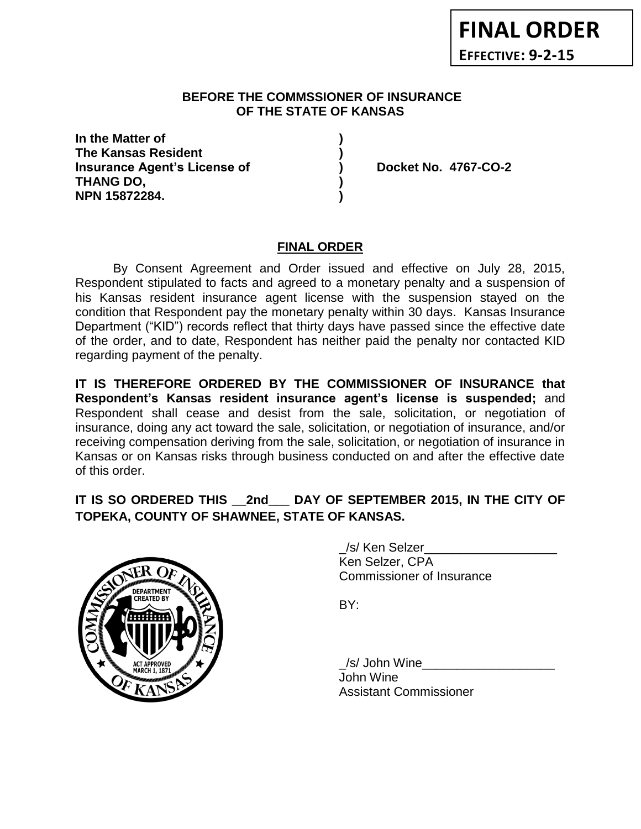## **BEFORE THE COMMSSIONER OF INSURANCE OF THE STATE OF KANSAS**

**In the Matter of ) The Kansas Resident ) Insurance Agent's License of ) Docket No. 4767-CO-2 THANG DO, ) NPN 15872284. )**

## **FINAL ORDER**

By Consent Agreement and Order issued and effective on July 28, 2015, Respondent stipulated to facts and agreed to a monetary penalty and a suspension of his Kansas resident insurance agent license with the suspension stayed on the condition that Respondent pay the monetary penalty within 30 days. Kansas Insurance Department ("KID") records reflect that thirty days have passed since the effective date of the order, and to date, Respondent has neither paid the penalty nor contacted KID regarding payment of the penalty.

**IT IS THEREFORE ORDERED BY THE COMMISSIONER OF INSURANCE that Respondent's Kansas resident insurance agent's license is suspended;** and Respondent shall cease and desist from the sale, solicitation, or negotiation of insurance, doing any act toward the sale, solicitation, or negotiation of insurance, and/or receiving compensation deriving from the sale, solicitation, or negotiation of insurance in Kansas or on Kansas risks through business conducted on and after the effective date of this order.

## **IT IS SO ORDERED THIS \_\_2nd\_\_\_ DAY OF SEPTEMBER 2015, IN THE CITY OF TOPEKA, COUNTY OF SHAWNEE, STATE OF KANSAS.**



\_/s/ Ken Selzer\_\_\_\_\_\_\_\_\_\_\_\_\_\_\_\_\_\_\_ Ken Selzer, CPA Commissioner of Insurance

BY:

\_/s/ John Wine\_\_\_\_\_\_\_\_\_\_\_\_\_\_\_\_\_\_\_ John Wine Assistant Commissioner